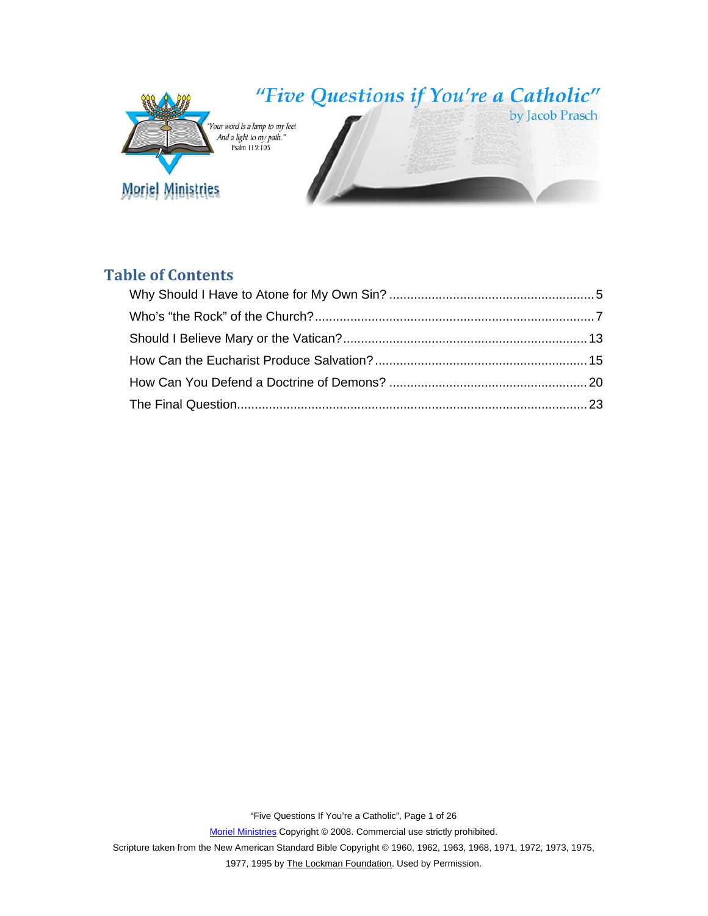

# **Table of Contents**

Scripture taken from the New American Standard Bible Copyright © 1960, 1962, 1963, 1968, 1971, 1972, 1973, 1975,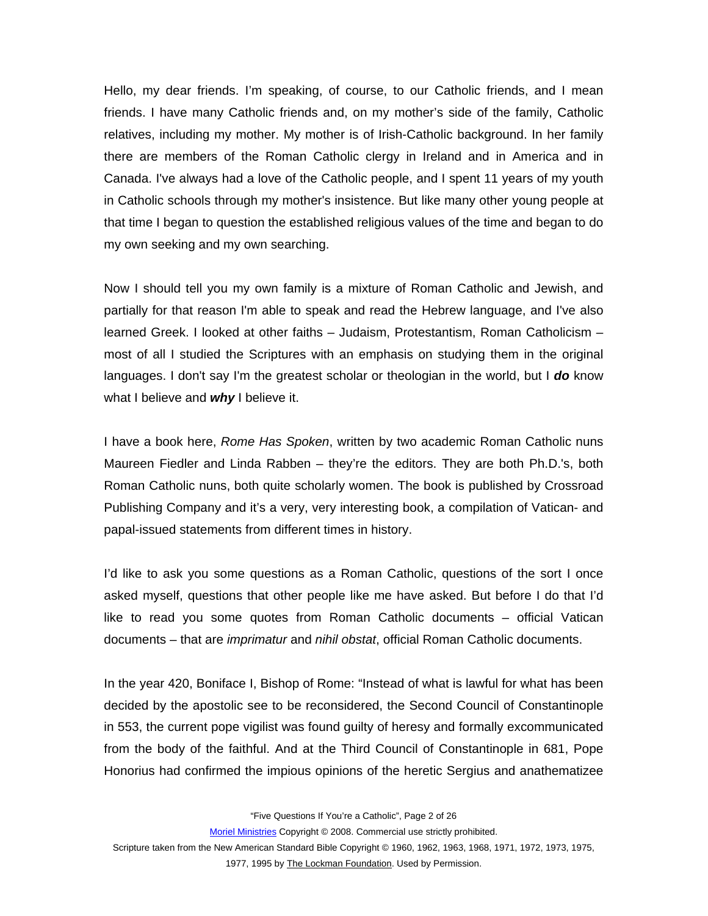Hello, my dear friends. I'm speaking, of course, to our Catholic friends, and I mean friends. I have many Catholic friends and, on my mother's side of the family, Catholic relatives, including my mother. My mother is of Irish-Catholic background. In her family there are members of the Roman Catholic clergy in Ireland and in America and in Canada. I've always had a love of the Catholic people, and I spent 11 years of my youth in Catholic schools through my mother's insistence. But like many other young people at that time I began to question the established religious values of the time and began to do my own seeking and my own searching.

Now I should tell you my own family is a mixture of Roman Catholic and Jewish, and partially for that reason I'm able to speak and read the Hebrew language, and I've also learned Greek. I looked at other faiths – Judaism, Protestantism, Roman Catholicism – most of all I studied the Scriptures with an emphasis on studying them in the original languages. I don't say I'm the greatest scholar or theologian in the world, but I *do* know what I believe and *why* I believe it.

I have a book here, *Rome Has Spoken*, written by two academic Roman Catholic nuns Maureen Fiedler and Linda Rabben – they're the editors. They are both Ph.D.'s, both Roman Catholic nuns, both quite scholarly women. The book is published by Crossroad Publishing Company and it's a very, very interesting book, a compilation of Vatican- and papal-issued statements from different times in history.

I'd like to ask you some questions as a Roman Catholic, questions of the sort I once asked myself, questions that other people like me have asked. But before I do that I'd like to read you some quotes from Roman Catholic documents – official Vatican documents – that are *imprimatur* and *nihil obstat*, official Roman Catholic documents.

In the year 420, Boniface I, Bishop of Rome: "Instead of what is lawful for what has been decided by the apostolic see to be reconsidered, the Second Council of Constantinople in 553, the current pope vigilist was found guilty of heresy and formally excommunicated from the body of the faithful. And at the Third Council of Constantinople in 681, Pope Honorius had confirmed the impious opinions of the heretic Sergius and anathematizee

"Five Questions If You're a Catholic", Page 2 of 26

Moriel Ministries Copyright © 2008. Commercial use strictly prohibited.

Scripture taken from the New American Standard Bible Copyright © 1960, 1962, 1963, 1968, 1971, 1972, 1973, 1975,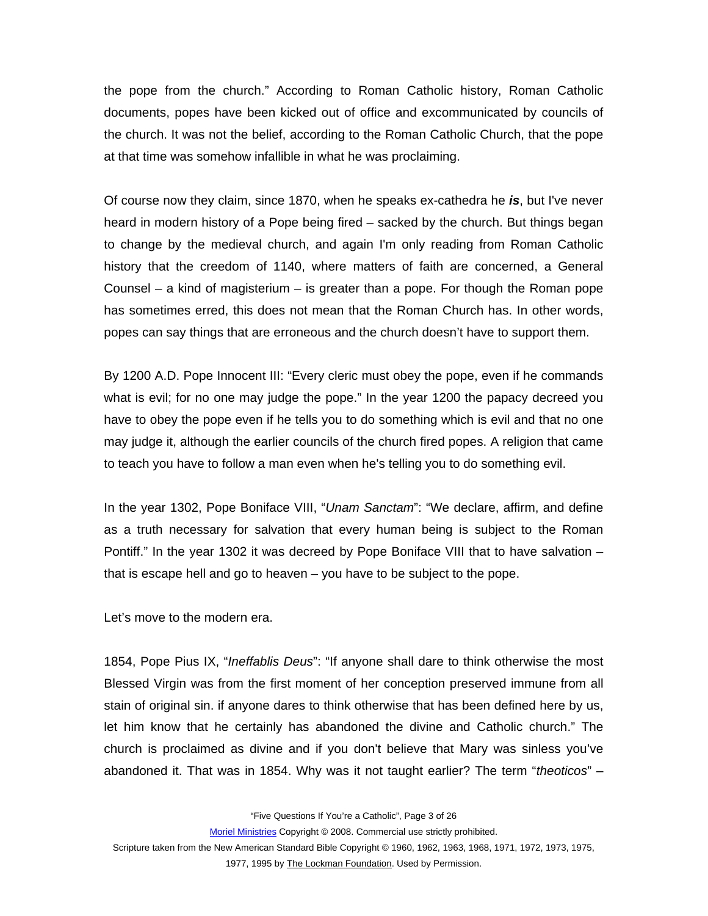the pope from the church." According to Roman Catholic history, Roman Catholic documents, popes have been kicked out of office and excommunicated by councils of the church. It was not the belief, according to the Roman Catholic Church, that the pope at that time was somehow infallible in what he was proclaiming.

Of course now they claim, since 1870, when he speaks ex-cathedra he *is*, but I've never heard in modern history of a Pope being fired – sacked by the church. But things began to change by the medieval church, and again I'm only reading from Roman Catholic history that the creedom of 1140, where matters of faith are concerned, a General Counsel – a kind of magisterium – is greater than a pope. For though the Roman pope has sometimes erred, this does not mean that the Roman Church has. In other words, popes can say things that are erroneous and the church doesn't have to support them.

By 1200 A.D. Pope Innocent III: "Every cleric must obey the pope, even if he commands what is evil; for no one may judge the pope." In the year 1200 the papacy decreed you have to obey the pope even if he tells you to do something which is evil and that no one may judge it, although the earlier councils of the church fired popes. A religion that came to teach you have to follow a man even when he's telling you to do something evil.

In the year 1302, Pope Boniface VIII, "*Unam Sanctam*": "We declare, affirm, and define as a truth necessary for salvation that every human being is subject to the Roman Pontiff." In the year 1302 it was decreed by Pope Boniface VIII that to have salvation – that is escape hell and go to heaven – you have to be subject to the pope.

Let's move to the modern era.

1854, Pope Pius IX, "*Ineffablis Deus*": "If anyone shall dare to think otherwise the most Blessed Virgin was from the first moment of her conception preserved immune from all stain of original sin. if anyone dares to think otherwise that has been defined here by us, let him know that he certainly has abandoned the divine and Catholic church." The church is proclaimed as divine and if you don't believe that Mary was sinless you've abandoned it. That was in 1854. Why was it not taught earlier? The term "*theoticos*" –

"Five Questions If You're a Catholic", Page 3 of 26

Moriel Ministries Copyright © 2008. Commercial use strictly prohibited.

Scripture taken from the New American Standard Bible Copyright © 1960, 1962, 1963, 1968, 1971, 1972, 1973, 1975, 1977, 1995 by The Lockman Foundation. Used by Permission.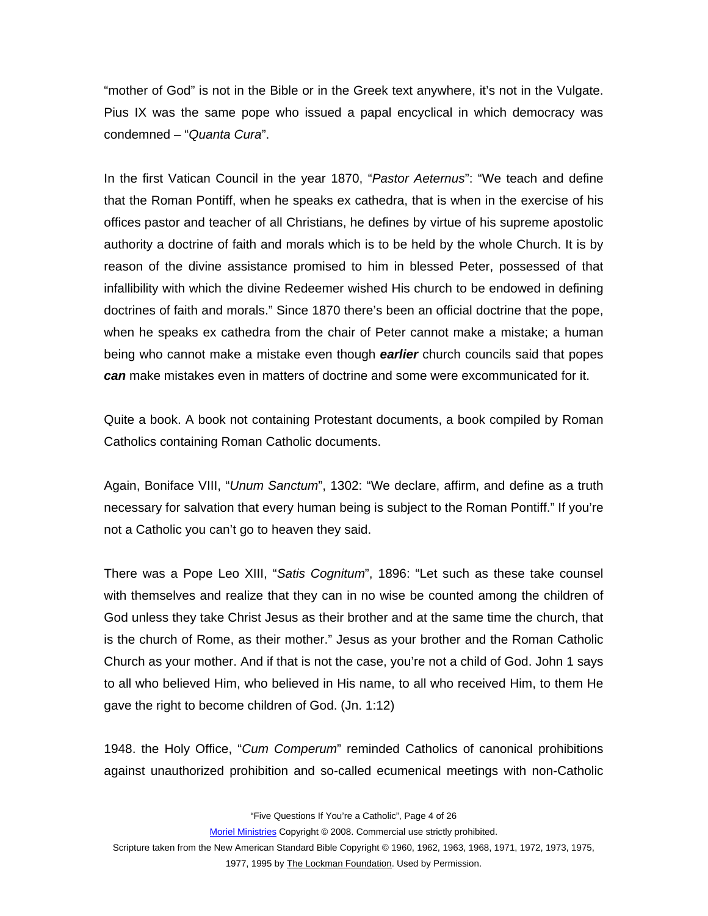"mother of God" is not in the Bible or in the Greek text anywhere, it's not in the Vulgate. Pius IX was the same pope who issued a papal encyclical in which democracy was condemned – "*Quanta Cura*".

In the first Vatican Council in the year 1870, "*Pastor Aeternus*": "We teach and define that the Roman Pontiff, when he speaks ex cathedra, that is when in the exercise of his offices pastor and teacher of all Christians, he defines by virtue of his supreme apostolic authority a doctrine of faith and morals which is to be held by the whole Church. It is by reason of the divine assistance promised to him in blessed Peter, possessed of that infallibility with which the divine Redeemer wished His church to be endowed in defining doctrines of faith and morals." Since 1870 there's been an official doctrine that the pope, when he speaks ex cathedra from the chair of Peter cannot make a mistake; a human being who cannot make a mistake even though *earlier* church councils said that popes *can* make mistakes even in matters of doctrine and some were excommunicated for it.

Quite a book. A book not containing Protestant documents, a book compiled by Roman Catholics containing Roman Catholic documents.

Again, Boniface VIII, "*Unum Sanctum*", 1302: "We declare, affirm, and define as a truth necessary for salvation that every human being is subject to the Roman Pontiff." If you're not a Catholic you can't go to heaven they said.

There was a Pope Leo XIII, "*Satis Cognitum*", 1896: "Let such as these take counsel with themselves and realize that they can in no wise be counted among the children of God unless they take Christ Jesus as their brother and at the same time the church, that is the church of Rome, as their mother." Jesus as your brother and the Roman Catholic Church as your mother. And if that is not the case, you're not a child of God. John 1 says to all who believed Him, who believed in His name, to all who received Him, to them He gave the right to become children of God. (Jn. 1:12)

1948. the Holy Office, "*Cum Comperum*" reminded Catholics of canonical prohibitions against unauthorized prohibition and so-called ecumenical meetings with non-Catholic

"Five Questions If You're a Catholic", Page 4 of 26

Moriel Ministries Copyright © 2008. Commercial use strictly prohibited.

Scripture taken from the New American Standard Bible Copyright © 1960, 1962, 1963, 1968, 1971, 1972, 1973, 1975,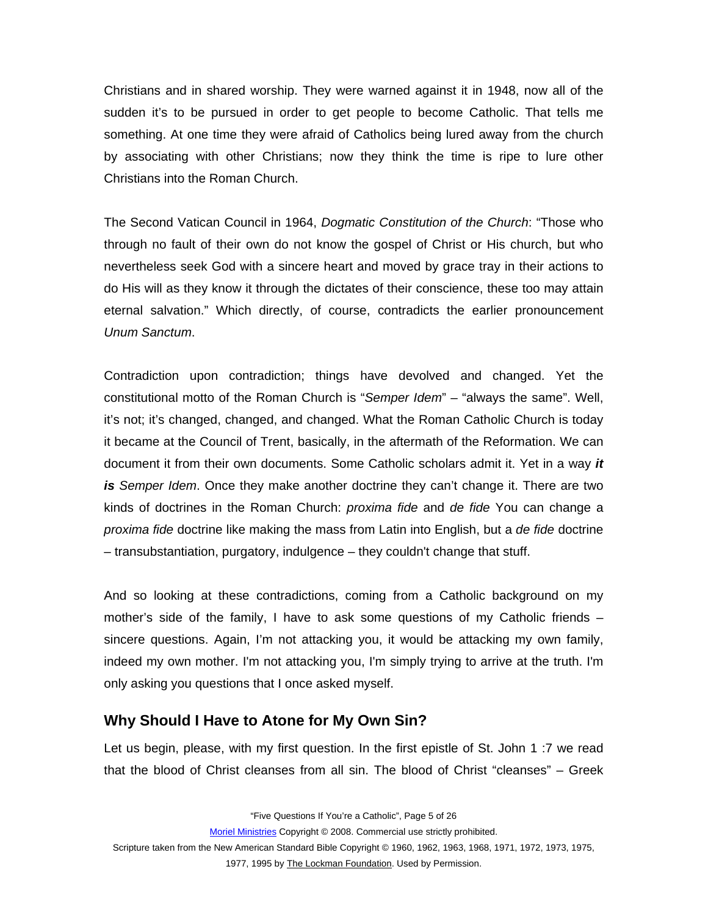<span id="page-4-0"></span>Christians and in shared worship. They were warned against it in 1948, now all of the sudden it's to be pursued in order to get people to become Catholic. That tells me something. At one time they were afraid of Catholics being lured away from the church by associating with other Christians; now they think the time is ripe to lure other Christians into the Roman Church.

The Second Vatican Council in 1964, *Dogmatic Constitution of the Church*: "Those who through no fault of their own do not know the gospel of Christ or His church, but who nevertheless seek God with a sincere heart and moved by grace tray in their actions to do His will as they know it through the dictates of their conscience, these too may attain eternal salvation." Which directly, of course, contradicts the earlier pronouncement *Unum Sanctum*.

Contradiction upon contradiction; things have devolved and changed. Yet the constitutional motto of the Roman Church is "*Semper Idem*" – "always the same". Well, it's not; it's changed, changed, and changed. What the Roman Catholic Church is today it became at the Council of Trent, basically, in the aftermath of the Reformation. We can document it from their own documents. Some Catholic scholars admit it. Yet in a way *it is Semper Idem*. Once they make another doctrine they can't change it. There are two kinds of doctrines in the Roman Church: *proxima fide* and *de fide* You can change a *proxima fide* doctrine like making the mass from Latin into English, but a *de fide* doctrine – transubstantiation, purgatory, indulgence – they couldn't change that stuff.

And so looking at these contradictions, coming from a Catholic background on my mother's side of the family, I have to ask some questions of my Catholic friends – sincere questions. Again, I'm not attacking you, it would be attacking my own family, indeed my own mother. I'm not attacking you, I'm simply trying to arrive at the truth. I'm only asking you questions that I once asked myself.

### **Why Should I Have to Atone for My Own Sin?**

Let us begin, please, with my first question. In the first epistle of St. John 1 :7 we read that the blood of Christ cleanses from all sin. The blood of Christ "cleanses" – Greek

"Five Questions If You're a Catholic", Page 5 of 26

Moriel Ministries Copyright © 2008. Commercial use strictly prohibited.

Scripture taken from the New American Standard Bible Copyright © 1960, 1962, 1963, 1968, 1971, 1972, 1973, 1975,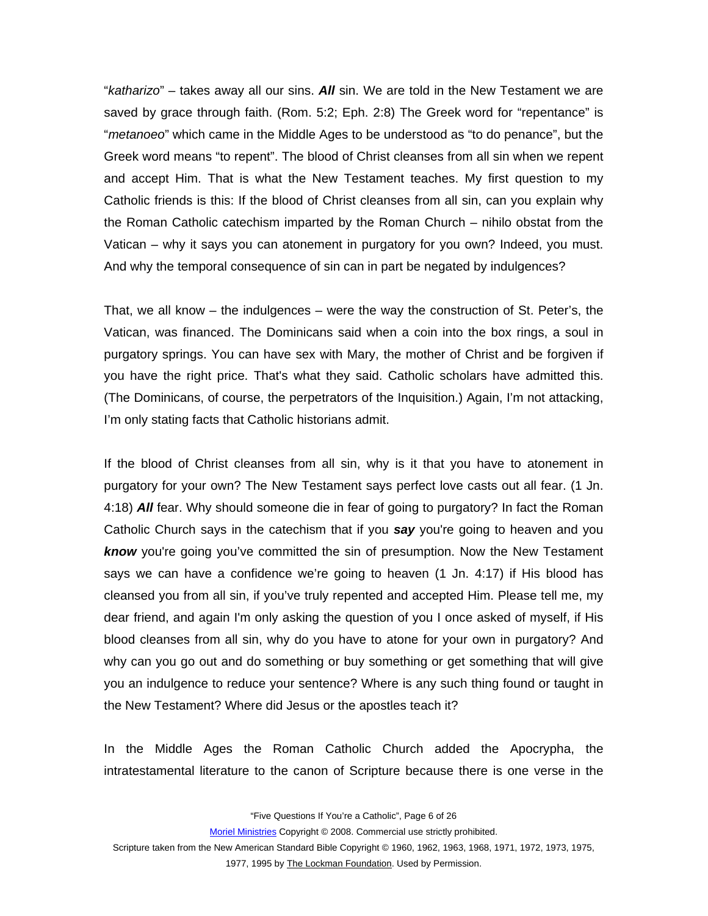"*katharizo*" – takes away all our sins. *All* sin. We are told in the New Testament we are saved by grace through faith. (Rom. 5:2; Eph. 2:8) The Greek word for "repentance" is "*metanoeo*" which came in the Middle Ages to be understood as "to do penance", but the Greek word means "to repent". The blood of Christ cleanses from all sin when we repent and accept Him. That is what the New Testament teaches. My first question to my Catholic friends is this: If the blood of Christ cleanses from all sin, can you explain why the Roman Catholic catechism imparted by the Roman Church – nihilo obstat from the Vatican – why it says you can atonement in purgatory for you own? Indeed, you must. And why the temporal consequence of sin can in part be negated by indulgences?

That, we all know – the indulgences – were the way the construction of St. Peter's, the Vatican, was financed. The Dominicans said when a coin into the box rings, a soul in purgatory springs. You can have sex with Mary, the mother of Christ and be forgiven if you have the right price. That's what they said. Catholic scholars have admitted this. (The Dominicans, of course, the perpetrators of the Inquisition.) Again, I'm not attacking, I'm only stating facts that Catholic historians admit.

If the blood of Christ cleanses from all sin, why is it that you have to atonement in purgatory for your own? The New Testament says perfect love casts out all fear. (1 Jn. 4:18) *All* fear. Why should someone die in fear of going to purgatory? In fact the Roman Catholic Church says in the catechism that if you *say* you're going to heaven and you *know* you're going you've committed the sin of presumption. Now the New Testament says we can have a confidence we're going to heaven (1 Jn. 4:17) if His blood has cleansed you from all sin, if you've truly repented and accepted Him. Please tell me, my dear friend, and again I'm only asking the question of you I once asked of myself, if His blood cleanses from all sin, why do you have to atone for your own in purgatory? And why can you go out and do something or buy something or get something that will give you an indulgence to reduce your sentence? Where is any such thing found or taught in the New Testament? Where did Jesus or the apostles teach it?

In the Middle Ages the Roman Catholic Church added the Apocrypha, the intratestamental literature to the canon of Scripture because there is one verse in the

"Five Questions If You're a Catholic", Page 6 of 26

Moriel Ministries Copyright © 2008. Commercial use strictly prohibited.

Scripture taken from the New American Standard Bible Copyright © 1960, 1962, 1963, 1968, 1971, 1972, 1973, 1975,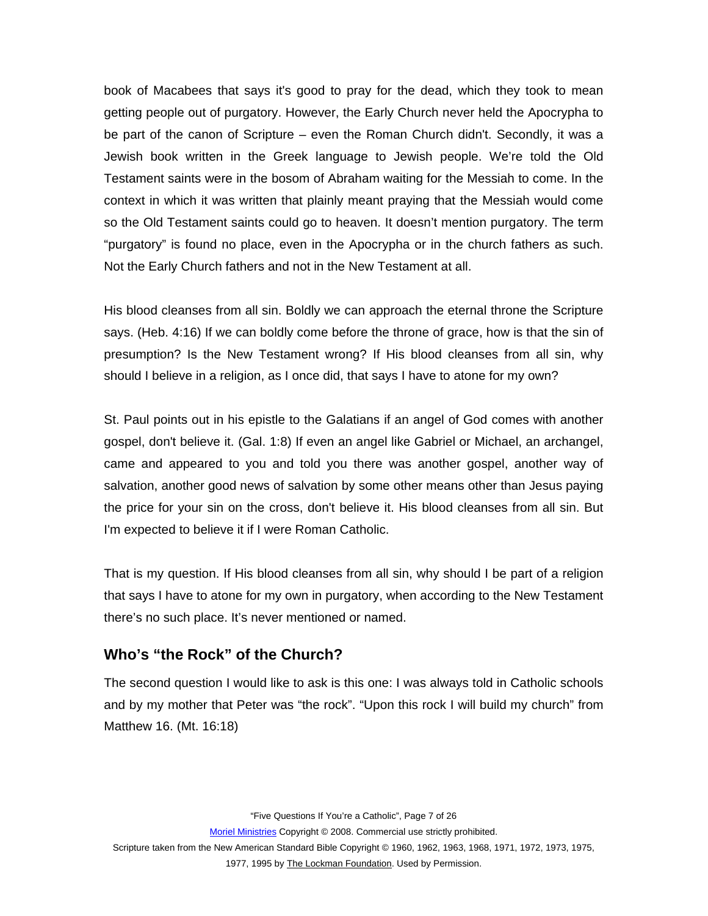<span id="page-6-0"></span>book of Macabees that says it's good to pray for the dead, which they took to mean getting people out of purgatory. However, the Early Church never held the Apocrypha to be part of the canon of Scripture – even the Roman Church didn't. Secondly, it was a Jewish book written in the Greek language to Jewish people. We're told the Old Testament saints were in the bosom of Abraham waiting for the Messiah to come. In the context in which it was written that plainly meant praying that the Messiah would come so the Old Testament saints could go to heaven. It doesn't mention purgatory. The term "purgatory" is found no place, even in the Apocrypha or in the church fathers as such. Not the Early Church fathers and not in the New Testament at all.

His blood cleanses from all sin. Boldly we can approach the eternal throne the Scripture says. (Heb. 4:16) If we can boldly come before the throne of grace, how is that the sin of presumption? Is the New Testament wrong? If His blood cleanses from all sin, why should I believe in a religion, as I once did, that says I have to atone for my own?

St. Paul points out in his epistle to the Galatians if an angel of God comes with another gospel, don't believe it. (Gal. 1:8) If even an angel like Gabriel or Michael, an archangel, came and appeared to you and told you there was another gospel, another way of salvation, another good news of salvation by some other means other than Jesus paying the price for your sin on the cross, don't believe it. His blood cleanses from all sin. But I'm expected to believe it if I were Roman Catholic.

That is my question. If His blood cleanses from all sin, why should I be part of a religion that says I have to atone for my own in purgatory, when according to the New Testament there's no such place. It's never mentioned or named.

### **Who's "the Rock" of the Church?**

The second question I would like to ask is this one: I was always told in Catholic schools and by my mother that Peter was "the rock". "Upon this rock I will build my church" from Matthew 16. (Mt. 16:18)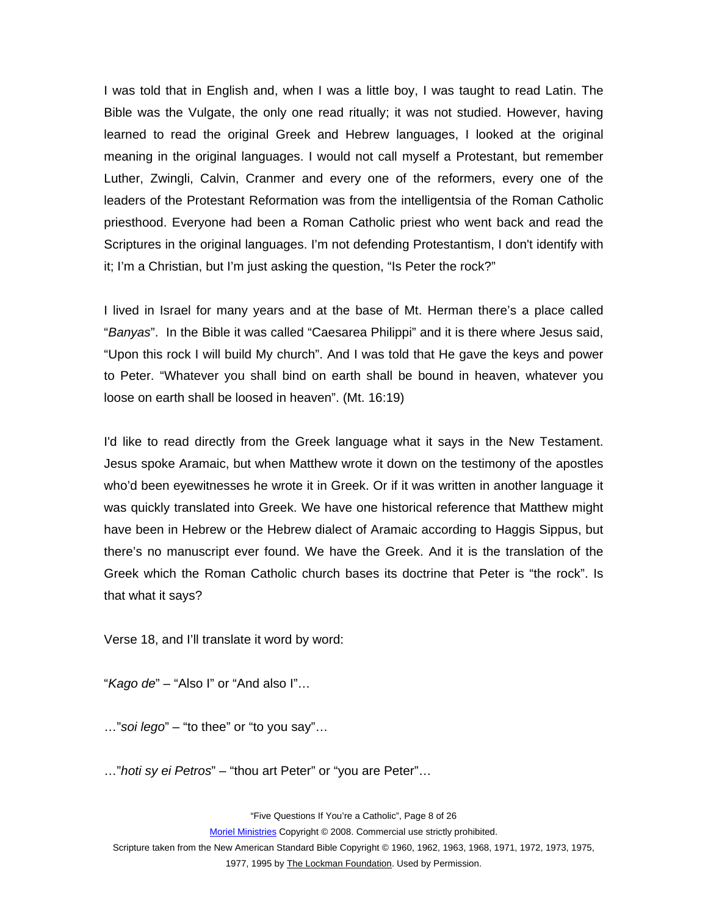I was told that in English and, when I was a little boy, I was taught to read Latin. The Bible was the Vulgate, the only one read ritually; it was not studied. However, having learned to read the original Greek and Hebrew languages, I looked at the original meaning in the original languages. I would not call myself a Protestant, but remember Luther, Zwingli, Calvin, Cranmer and every one of the reformers, every one of the leaders of the Protestant Reformation was from the intelligentsia of the Roman Catholic priesthood. Everyone had been a Roman Catholic priest who went back and read the Scriptures in the original languages. I'm not defending Protestantism, I don't identify with it; I'm a Christian, but I'm just asking the question, "Is Peter the rock?"

I lived in Israel for many years and at the base of Mt. Herman there's a place called "*Banyas*". In the Bible it was called "Caesarea Philippi" and it is there where Jesus said, "Upon this rock I will build My church". And I was told that He gave the keys and power to Peter. "Whatever you shall bind on earth shall be bound in heaven, whatever you loose on earth shall be loosed in heaven". (Mt. 16:19)

I'd like to read directly from the Greek language what it says in the New Testament. Jesus spoke Aramaic, but when Matthew wrote it down on the testimony of the apostles who'd been eyewitnesses he wrote it in Greek. Or if it was written in another language it was quickly translated into Greek. We have one historical reference that Matthew might have been in Hebrew or the Hebrew dialect of Aramaic according to Haggis Sippus, but there's no manuscript ever found. We have the Greek. And it is the translation of the Greek which the Roman Catholic church bases its doctrine that Peter is "the rock". Is that what it says?

Verse 18, and I'll translate it word by word:

"*Kago de*" – "Also I" or "And also I"…

…"*soi lego*" – "to thee" or "to you say"…

…"*hoti sy ei Petros*" – "thou art Peter" or "you are Peter"…

"Five Questions If You're a Catholic", Page 8 of 26

Moriel Ministries Copyright © 2008. Commercial use strictly prohibited.

Scripture taken from the New American Standard Bible Copyright © 1960, 1962, 1963, 1968, 1971, 1972, 1973, 1975,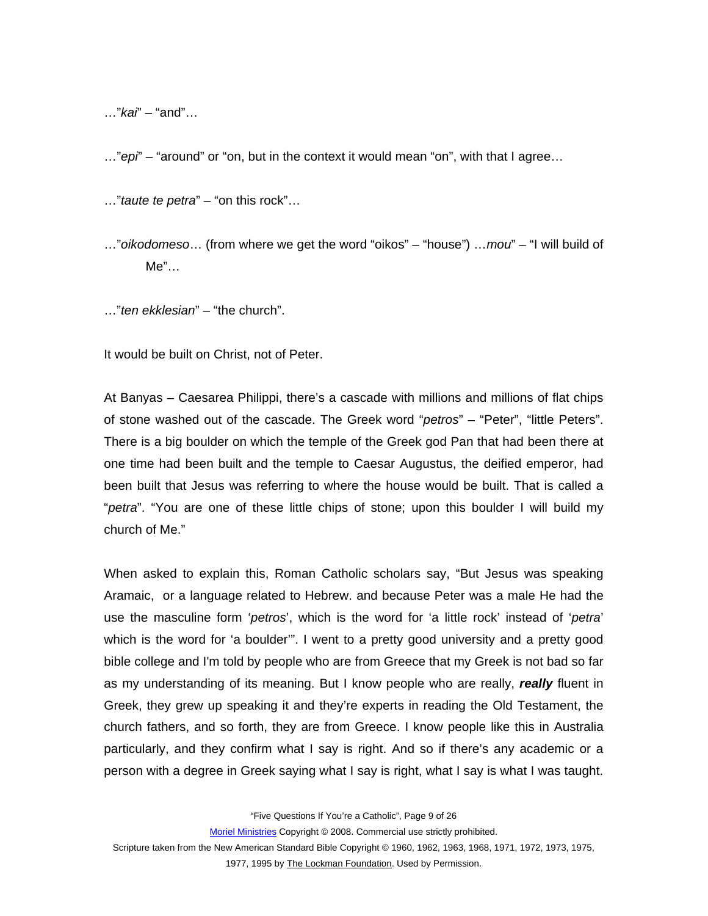…"*kai*" – "and"…

…"*epi*" – "around" or "on, but in the context it would mean "on", with that I agree…

…"*taute te petra*" – "on this rock"…

…"*oikodomeso*… (from where we get the word "oikos" – "house") …*mou*" – "I will build of Me"…

…"*ten ekklesian*" – "the church".

It would be built on Christ, not of Peter.

At Banyas – Caesarea Philippi, there's a cascade with millions and millions of flat chips of stone washed out of the cascade. The Greek word "*petros*" – "Peter", "little Peters". There is a big boulder on which the temple of the Greek god Pan that had been there at one time had been built and the temple to Caesar Augustus, the deified emperor, had been built that Jesus was referring to where the house would be built. That is called a "*petra*". "You are one of these little chips of stone; upon this boulder I will build my church of Me."

When asked to explain this, Roman Catholic scholars say, "But Jesus was speaking Aramaic, or a language related to Hebrew. and because Peter was a male He had the use the masculine form '*petros*', which is the word for 'a little rock' instead of '*petra*' which is the word for 'a boulder'". I went to a pretty good university and a pretty good bible college and I'm told by people who are from Greece that my Greek is not bad so far as my understanding of its meaning. But I know people who are really, *really* fluent in Greek, they grew up speaking it and they're experts in reading the Old Testament, the church fathers, and so forth, they are from Greece. I know people like this in Australia particularly, and they confirm what I say is right. And so if there's any academic or a person with a degree in Greek saying what I say is right, what I say is what I was taught.

"Five Questions If You're a Catholic", Page 9 of 26

Moriel Ministries Copyright © 2008. Commercial use strictly prohibited.

Scripture taken from the New American Standard Bible Copyright © 1960, 1962, 1963, 1968, 1971, 1972, 1973, 1975,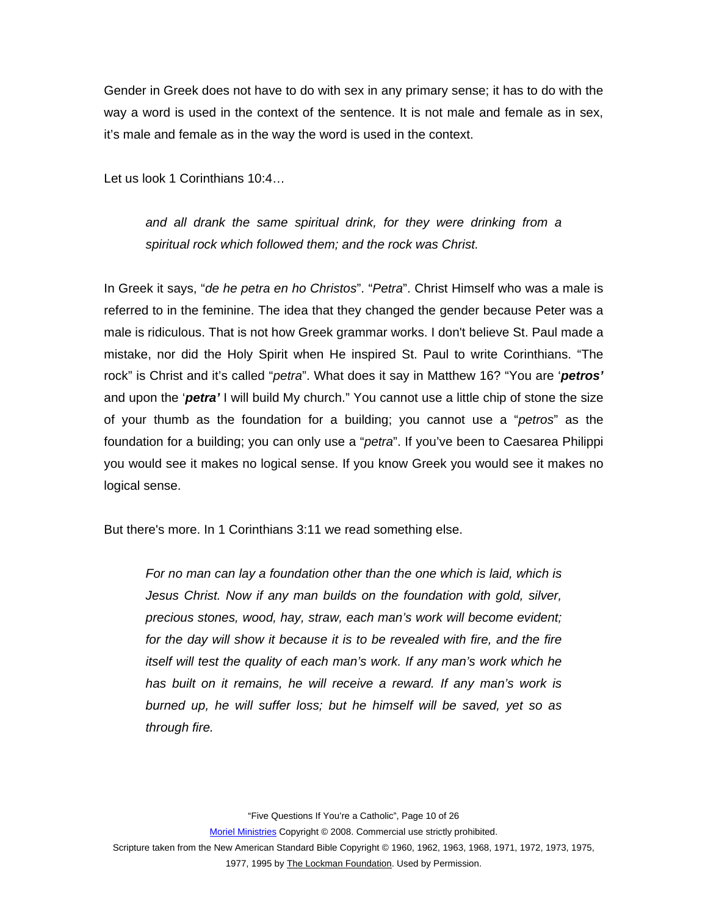Gender in Greek does not have to do with sex in any primary sense; it has to do with the way a word is used in the context of the sentence. It is not male and female as in sex, it's male and female as in the way the word is used in the context.

Let us look 1 Corinthians 10:4…

*and all drank the same spiritual drink, for they were drinking from a spiritual rock which followed them; and the rock was Christ.* 

In Greek it says, "*de he petra en ho Christos*". "*Petra*". Christ Himself who was a male is referred to in the feminine. The idea that they changed the gender because Peter was a male is ridiculous. That is not how Greek grammar works. I don't believe St. Paul made a mistake, nor did the Holy Spirit when He inspired St. Paul to write Corinthians. "The rock" is Christ and it's called "*petra*". What does it say in Matthew 16? "You are '*petros'* and upon the '*petra'* I will build My church." You cannot use a little chip of stone the size of your thumb as the foundation for a building; you cannot use a "*petros*" as the foundation for a building; you can only use a "*petra*". If you've been to Caesarea Philippi you would see it makes no logical sense. If you know Greek you would see it makes no logical sense.

But there's more. In 1 Corinthians 3:11 we read something else.

*For no man can lay a foundation other than the one which is laid, which is Jesus Christ. Now if any man builds on the foundation with gold, silver, precious stones, wood, hay, straw, each man's work will become evident;*  for the day will show it because it is to be revealed with fire, and the fire *itself will test the quality of each man's work. If any man's work which he has built on it remains, he will receive a reward. If any man's work is burned up, he will suffer loss; but he himself will be saved, yet so as through fire.* 

"Five Questions If You're a Catholic", Page 10 of 26

Moriel Ministries Copyright © 2008. Commercial use strictly prohibited.

Scripture taken from the New American Standard Bible Copyright © 1960, 1962, 1963, 1968, 1971, 1972, 1973, 1975,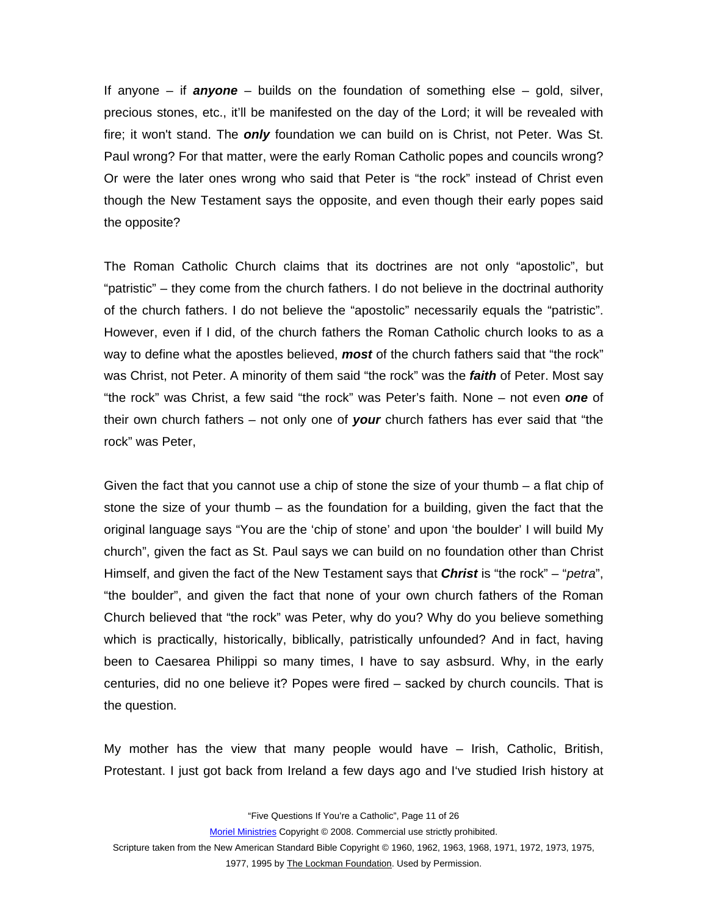If anyone – if *anyone* – builds on the foundation of something else – gold, silver, precious stones, etc., it'll be manifested on the day of the Lord; it will be revealed with fire; it won't stand. The *only* foundation we can build on is Christ, not Peter. Was St. Paul wrong? For that matter, were the early Roman Catholic popes and councils wrong? Or were the later ones wrong who said that Peter is "the rock" instead of Christ even though the New Testament says the opposite, and even though their early popes said the opposite?

The Roman Catholic Church claims that its doctrines are not only "apostolic", but "patristic" – they come from the church fathers. I do not believe in the doctrinal authority of the church fathers. I do not believe the "apostolic" necessarily equals the "patristic". However, even if I did, of the church fathers the Roman Catholic church looks to as a way to define what the apostles believed, *most* of the church fathers said that "the rock" was Christ, not Peter. A minority of them said "the rock" was the *faith* of Peter. Most say "the rock" was Christ, a few said "the rock" was Peter's faith. None – not even *one* of their own church fathers – not only one of *your* church fathers has ever said that "the rock" was Peter,

Given the fact that you cannot use a chip of stone the size of your thumb – a flat chip of stone the size of your thumb – as the foundation for a building, given the fact that the original language says "You are the 'chip of stone' and upon 'the boulder' I will build My church", given the fact as St. Paul says we can build on no foundation other than Christ Himself, and given the fact of the New Testament says that *Christ* is "the rock" – "*petra*", "the boulder", and given the fact that none of your own church fathers of the Roman Church believed that "the rock" was Peter, why do you? Why do you believe something which is practically, historically, biblically, patristically unfounded? And in fact, having been to Caesarea Philippi so many times, I have to say asbsurd. Why, in the early centuries, did no one believe it? Popes were fired – sacked by church councils. That is the question.

My mother has the view that many people would have – Irish, Catholic, British, Protestant. I just got back from Ireland a few days ago and I've studied Irish history at

"Five Questions If You're a Catholic", Page 11 of 26

Moriel Ministries Copyright © 2008. Commercial use strictly prohibited.

Scripture taken from the New American Standard Bible Copyright © 1960, 1962, 1963, 1968, 1971, 1972, 1973, 1975,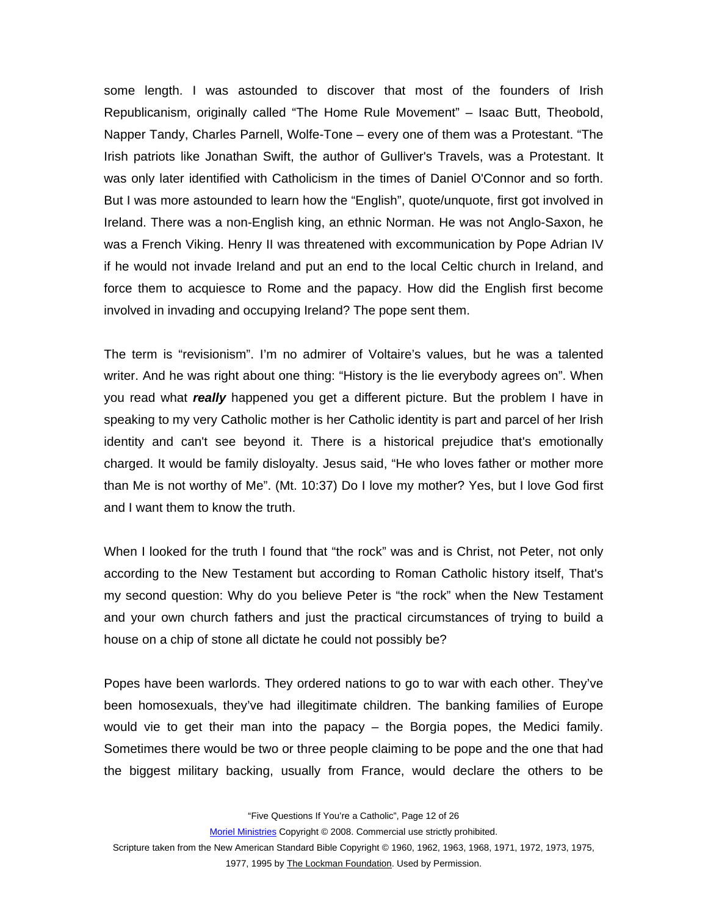some length. I was astounded to discover that most of the founders of Irish Republicanism, originally called "The Home Rule Movement" – Isaac Butt, Theobold, Napper Tandy, Charles Parnell, Wolfe-Tone – every one of them was a Protestant. "The Irish patriots like Jonathan Swift, the author of Gulliver's Travels, was a Protestant. It was only later identified with Catholicism in the times of Daniel O'Connor and so forth. But I was more astounded to learn how the "English", quote/unquote, first got involved in Ireland. There was a non-English king, an ethnic Norman. He was not Anglo-Saxon, he was a French Viking. Henry II was threatened with excommunication by Pope Adrian IV if he would not invade Ireland and put an end to the local Celtic church in Ireland, and force them to acquiesce to Rome and the papacy. How did the English first become involved in invading and occupying Ireland? The pope sent them.

The term is "revisionism". I'm no admirer of Voltaire's values, but he was a talented writer. And he was right about one thing: "History is the lie everybody agrees on". When you read what *really* happened you get a different picture. But the problem I have in speaking to my very Catholic mother is her Catholic identity is part and parcel of her Irish identity and can't see beyond it. There is a historical prejudice that's emotionally charged. It would be family disloyalty. Jesus said, "He who loves father or mother more than Me is not worthy of Me". (Mt. 10:37) Do I love my mother? Yes, but I love God first and I want them to know the truth.

When I looked for the truth I found that "the rock" was and is Christ, not Peter, not only according to the New Testament but according to Roman Catholic history itself, That's my second question: Why do you believe Peter is "the rock" when the New Testament and your own church fathers and just the practical circumstances of trying to build a house on a chip of stone all dictate he could not possibly be?

Popes have been warlords. They ordered nations to go to war with each other. They've been homosexuals, they've had illegitimate children. The banking families of Europe would vie to get their man into the papacy – the Borgia popes, the Medici family. Sometimes there would be two or three people claiming to be pope and the one that had the biggest military backing, usually from France, would declare the others to be

"Five Questions If You're a Catholic", Page 12 of 26

Moriel Ministries Copyright © 2008. Commercial use strictly prohibited.

Scripture taken from the New American Standard Bible Copyright © 1960, 1962, 1963, 1968, 1971, 1972, 1973, 1975,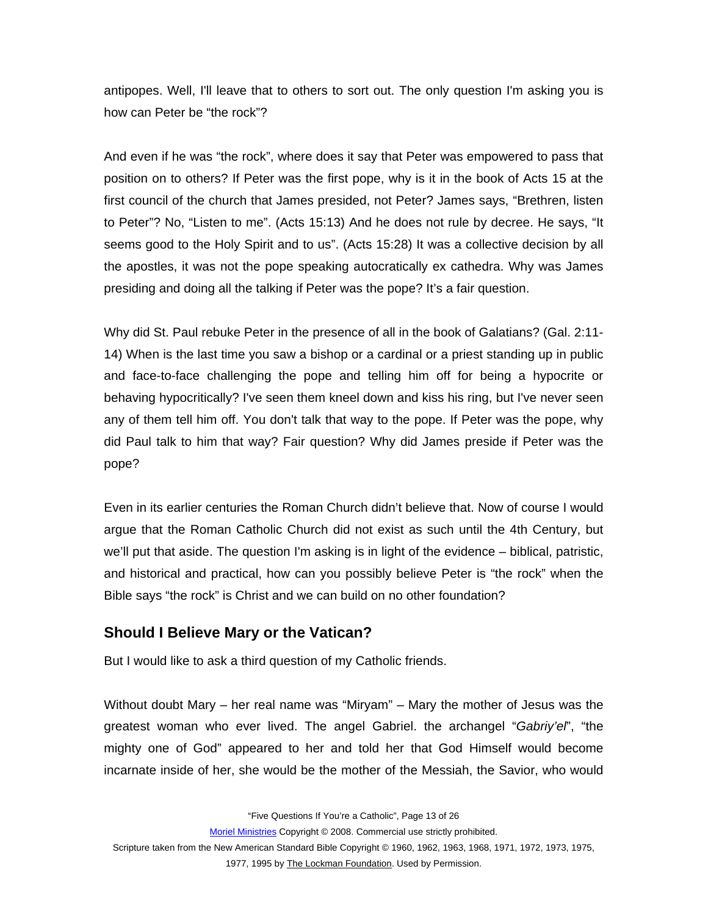<span id="page-12-0"></span>antipopes. Well, I'll leave that to others to sort out. The only question I'm asking you is how can Peter be "the rock"?

And even if he was "the rock", where does it say that Peter was empowered to pass that position on to others? If Peter was the first pope, why is it in the book of Acts 15 at the first council of the church that James presided, not Peter? James says, "Brethren, listen to Peter"? No, "Listen to me". (Acts 15:13) And he does not rule by decree. He says, "It seems good to the Holy Spirit and to us". (Acts 15:28) It was a collective decision by all the apostles, it was not the pope speaking autocratically ex cathedra. Why was James presiding and doing all the talking if Peter was the pope? It's a fair question.

Why did St. Paul rebuke Peter in the presence of all in the book of Galatians? (Gal. 2:11- 14) When is the last time you saw a bishop or a cardinal or a priest standing up in public and face-to-face challenging the pope and telling him off for being a hypocrite or behaving hypocritically? I've seen them kneel down and kiss his ring, but I've never seen any of them tell him off. You don't talk that way to the pope. If Peter was the pope, why did Paul talk to him that way? Fair question? Why did James preside if Peter was the pope?

Even in its earlier centuries the Roman Church didn't believe that. Now of course I would argue that the Roman Catholic Church did not exist as such until the 4th Century, but we'll put that aside. The question I'm asking is in light of the evidence – biblical, patristic, and historical and practical, how can you possibly believe Peter is "the rock" when the Bible says "the rock" is Christ and we can build on no other foundation?

### **Should I Believe Mary or the Vatican?**

But I would like to ask a third question of my Catholic friends.

Without doubt Mary – her real name was "Miryam" – Mary the mother of Jesus was the greatest woman who ever lived. The angel Gabriel. the archangel "*Gabriy'el*", "the mighty one of God" appeared to her and told her that God Himself would become incarnate inside of her, she would be the mother of the Messiah, the Savior, who would

"Five Questions If You're a Catholic", Page 13 of 26

Moriel Ministries Copyright © 2008. Commercial use strictly prohibited.

Scripture taken from the New American Standard Bible Copyright © 1960, 1962, 1963, 1968, 1971, 1972, 1973, 1975,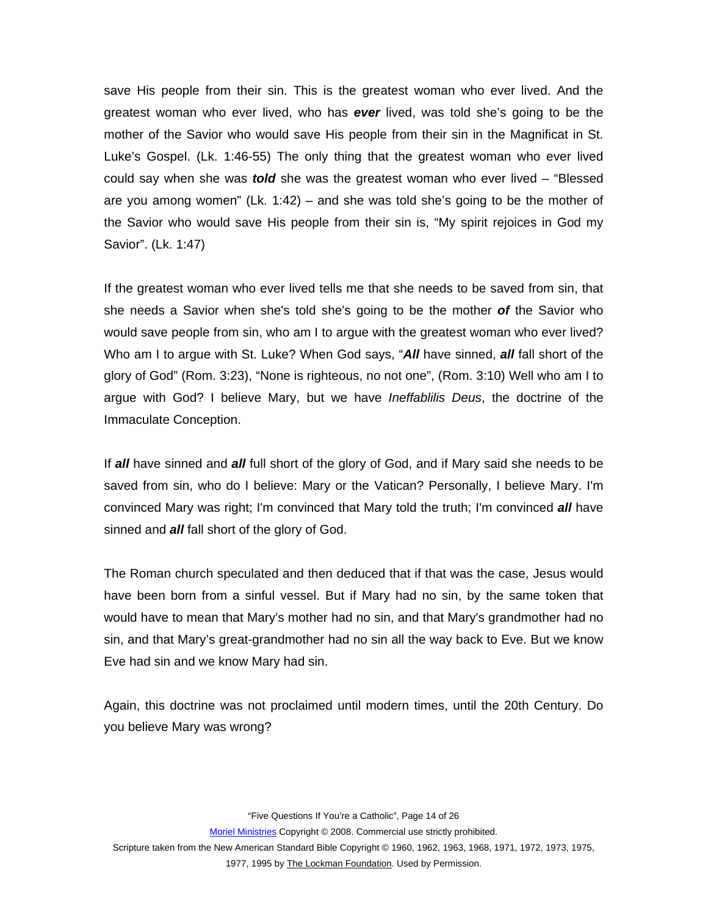save His people from their sin. This is the greatest woman who ever lived. And the greatest woman who ever lived, who has *ever* lived, was told she's going to be the mother of the Savior who would save His people from their sin in the Magnificat in St. Luke's Gospel. (Lk. 1:46-55) The only thing that the greatest woman who ever lived could say when she was *told* she was the greatest woman who ever lived – "Blessed are you among women" (Lk. 1:42) – and she was told she's going to be the mother of the Savior who would save His people from their sin is, "My spirit rejoices in God my Savior". (Lk. 1:47)

If the greatest woman who ever lived tells me that she needs to be saved from sin, that she needs a Savior when she's told she's going to be the mother *of* the Savior who would save people from sin, who am I to argue with the greatest woman who ever lived? Who am I to argue with St. Luke? When God says, "*All* have sinned, *all* fall short of the glory of God" (Rom. 3:23), "None is righteous, no not one", (Rom. 3:10) Well who am I to argue with God? I believe Mary, but we have *Ineffablilis Deus*, the doctrine of the Immaculate Conception.

If *all* have sinned and *all* full short of the glory of God, and if Mary said she needs to be saved from sin, who do I believe: Mary or the Vatican? Personally, I believe Mary. I'm convinced Mary was right; I'm convinced that Mary told the truth; I'm convinced *all* have sinned and *all* fall short of the glory of God.

The Roman church speculated and then deduced that if that was the case, Jesus would have been born from a sinful vessel. But if Mary had no sin, by the same token that would have to mean that Mary's mother had no sin, and that Mary's grandmother had no sin, and that Mary's great-grandmother had no sin all the way back to Eve. But we know Eve had sin and we know Mary had sin.

Again, this doctrine was not proclaimed until modern times, until the 20th Century. Do you believe Mary was wrong?

"Five Questions If You're a Catholic", Page 14 of 26

Moriel Ministries Copyright © 2008. Commercial use strictly prohibited.

Scripture taken from the New American Standard Bible Copyright © 1960, 1962, 1963, 1968, 1971, 1972, 1973, 1975,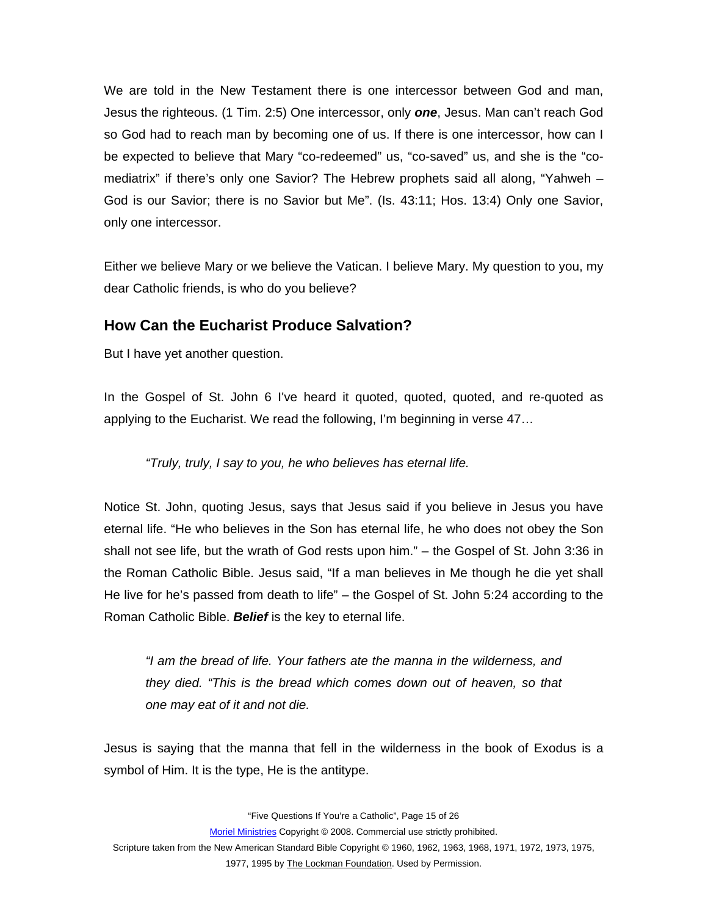<span id="page-14-0"></span>We are told in the New Testament there is one intercessor between God and man, Jesus the righteous. (1 Tim. 2:5) One intercessor, only *one*, Jesus. Man can't reach God so God had to reach man by becoming one of us. If there is one intercessor, how can I be expected to believe that Mary "co-redeemed" us, "co-saved" us, and she is the "comediatrix" if there's only one Savior? The Hebrew prophets said all along, "Yahweh – God is our Savior; there is no Savior but Me". (Is. 43:11; Hos. 13:4) Only one Savior, only one intercessor.

Either we believe Mary or we believe the Vatican. I believe Mary. My question to you, my dear Catholic friends, is who do you believe?

#### **How Can the Eucharist Produce Salvation?**

But I have yet another question.

In the Gospel of St. John 6 I've heard it quoted, quoted, quoted, and re-quoted as applying to the Eucharist. We read the following, I'm beginning in verse 47…

*"Truly, truly, I say to you, he who believes has eternal life.* 

Notice St. John, quoting Jesus, says that Jesus said if you believe in Jesus you have eternal life. "He who believes in the Son has eternal life, he who does not obey the Son shall not see life, but the wrath of God rests upon him." – the Gospel of St. John 3:36 in the Roman Catholic Bible. Jesus said, "If a man believes in Me though he die yet shall He live for he's passed from death to life" – the Gospel of St. John 5:24 according to the Roman Catholic Bible. *Belief* is the key to eternal life.

*"I am the bread of life. Your fathers ate the manna in the wilderness, and they died. "This is the bread which comes down out of heaven, so that one may eat of it and not die.* 

Jesus is saying that the manna that fell in the wilderness in the book of Exodus is a symbol of Him. It is the type, He is the antitype.

"Five Questions If You're a Catholic", Page 15 of 26

Moriel Ministries Copyright © 2008. Commercial use strictly prohibited.

Scripture taken from the New American Standard Bible Copyright © 1960, 1962, 1963, 1968, 1971, 1972, 1973, 1975, 1977, 1995 by The Lockman Foundation. Used by Permission.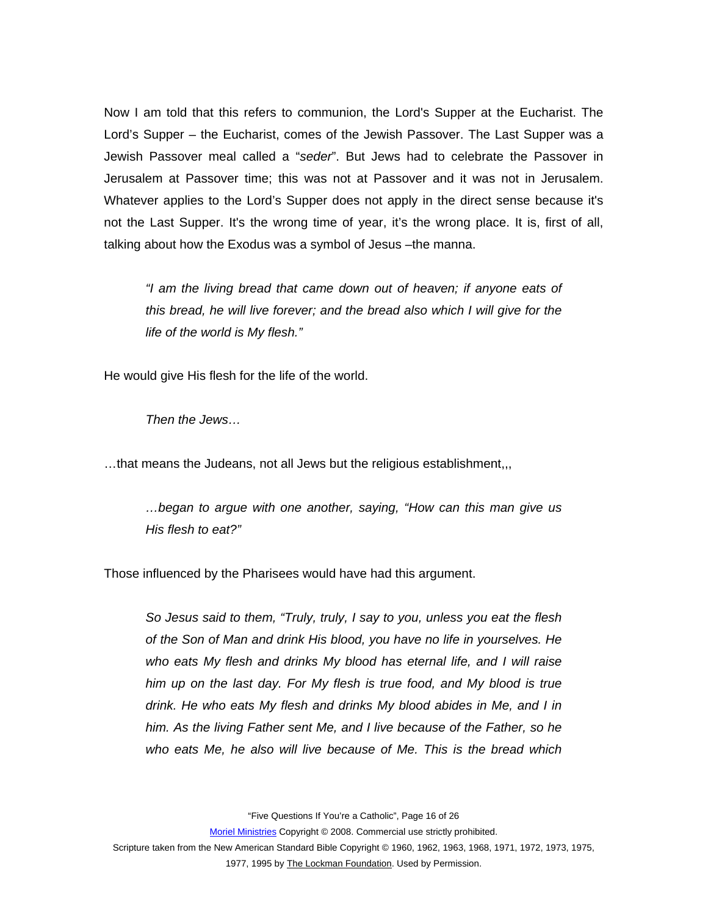Now I am told that this refers to communion, the Lord's Supper at the Eucharist. The Lord's Supper – the Eucharist, comes of the Jewish Passover. The Last Supper was a Jewish Passover meal called a "*seder*". But Jews had to celebrate the Passover in Jerusalem at Passover time; this was not at Passover and it was not in Jerusalem. Whatever applies to the Lord's Supper does not apply in the direct sense because it's not the Last Supper. It's the wrong time of year, it's the wrong place. It is, first of all, talking about how the Exodus was a symbol of Jesus –the manna.

*"I am the living bread that came down out of heaven; if anyone eats of this bread, he will live forever; and the bread also which I will give for the life of the world is My flesh."* 

He would give His flesh for the life of the world.

*Then the Jews…* 

…that means the Judeans, not all Jews but the religious establishment,,,

*…began to argue with one another, saying, "How can this man give us His flesh to eat?"* 

Those influenced by the Pharisees would have had this argument.

*So Jesus said to them, "Truly, truly, I say to you, unless you eat the flesh of the Son of Man and drink His blood, you have no life in yourselves. He who eats My flesh and drinks My blood has eternal life, and I will raise him up on the last day. For My flesh is true food, and My blood is true drink. He who eats My flesh and drinks My blood abides in Me, and I in him. As the living Father sent Me, and I live because of the Father, so he who eats Me, he also will live because of Me. This is the bread which* 

"Five Questions If You're a Catholic", Page 16 of 26

Moriel Ministries Copyright © 2008. Commercial use strictly prohibited.

Scripture taken from the New American Standard Bible Copyright © 1960, 1962, 1963, 1968, 1971, 1972, 1973, 1975,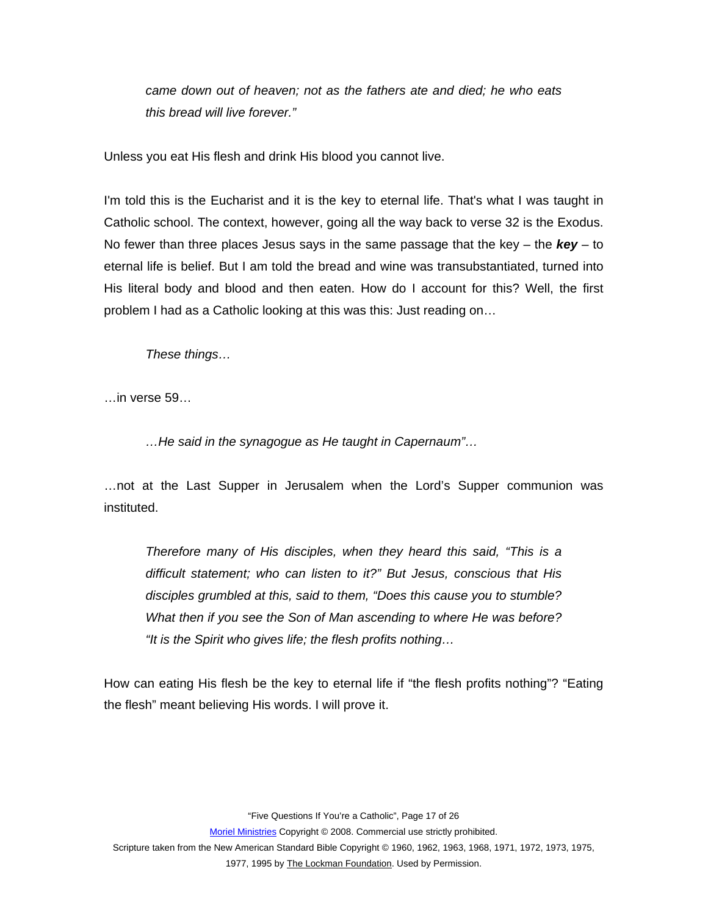*came down out of heaven; not as the fathers ate and died; he who eats this bread will live forever."* 

Unless you eat His flesh and drink His blood you cannot live.

I'm told this is the Eucharist and it is the key to eternal life. That's what I was taught in Catholic school. The context, however, going all the way back to verse 32 is the Exodus. No fewer than three places Jesus says in the same passage that the key – the *key* – to eternal life is belief. But I am told the bread and wine was transubstantiated, turned into His literal body and blood and then eaten. How do I account for this? Well, the first problem I had as a Catholic looking at this was this: Just reading on…

*These things…* 

…in verse 59…

*…He said in the synagogue as He taught in Capernaum"…* 

…not at the Last Supper in Jerusalem when the Lord's Supper communion was instituted.

*Therefore many of His disciples, when they heard this said, "This is a difficult statement; who can listen to it?" But Jesus, conscious that His disciples grumbled at this, said to them, "Does this cause you to stumble? What then if you see the Son of Man ascending to where He was before? "It is the Spirit who gives life; the flesh profits nothing…* 

How can eating His flesh be the key to eternal life if "the flesh profits nothing"? "Eating the flesh" meant believing His words. I will prove it.

"Five Questions If You're a Catholic", Page 17 of 26

Moriel Ministries Copyright © 2008. Commercial use strictly prohibited.

Scripture taken from the New American Standard Bible Copyright © 1960, 1962, 1963, 1968, 1971, 1972, 1973, 1975,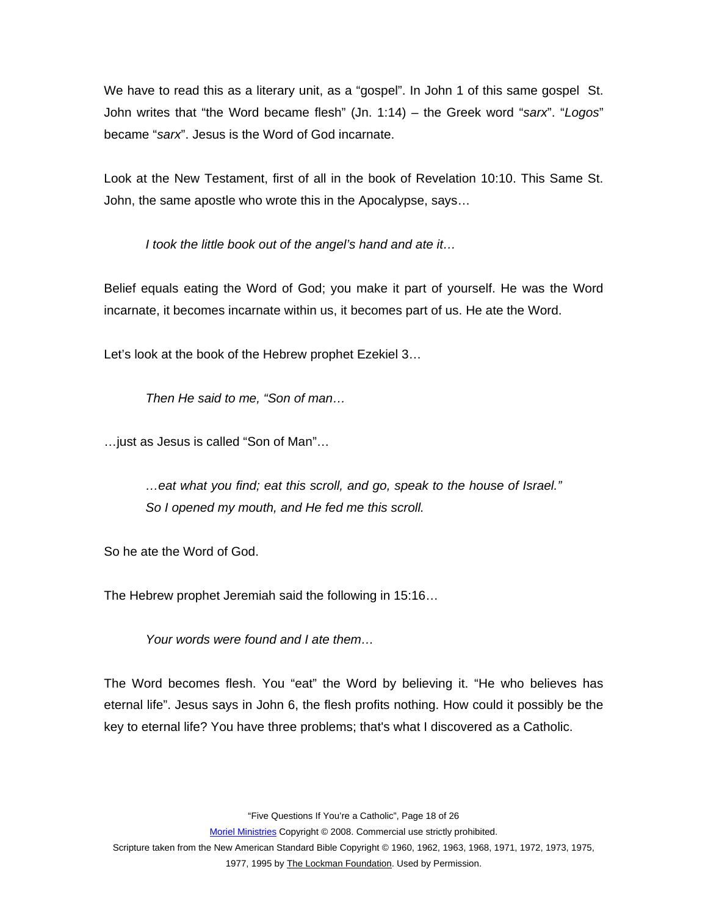We have to read this as a literary unit, as a "gospel". In John 1 of this same gospel St. John writes that "the Word became flesh" (Jn. 1:14) – the Greek word "*sarx*". "*Logos*" became "*sarx*". Jesus is the Word of God incarnate.

Look at the New Testament, first of all in the book of Revelation 10:10. This Same St. John, the same apostle who wrote this in the Apocalypse, says…

*I took the little book out of the angel's hand and ate it…* 

Belief equals eating the Word of God; you make it part of yourself. He was the Word incarnate, it becomes incarnate within us, it becomes part of us. He ate the Word.

Let's look at the book of the Hebrew prophet Ezekiel 3…

*Then He said to me, "Son of man…* 

…just as Jesus is called "Son of Man"…

*…eat what you find; eat this scroll, and go, speak to the house of Israel." So I opened my mouth, and He fed me this scroll.* 

So he ate the Word of God.

The Hebrew prophet Jeremiah said the following in 15:16…

*Your words were found and I ate them…* 

The Word becomes flesh. You "eat" the Word by believing it. "He who believes has eternal life". Jesus says in John 6, the flesh profits nothing. How could it possibly be the key to eternal life? You have three problems; that's what I discovered as a Catholic.

"Five Questions If You're a Catholic", Page 18 of 26

Moriel Ministries Copyright © 2008. Commercial use strictly prohibited.

Scripture taken from the New American Standard Bible Copyright © 1960, 1962, 1963, 1968, 1971, 1972, 1973, 1975, 1977, 1995 by The Lockman Foundation. Used by Permission.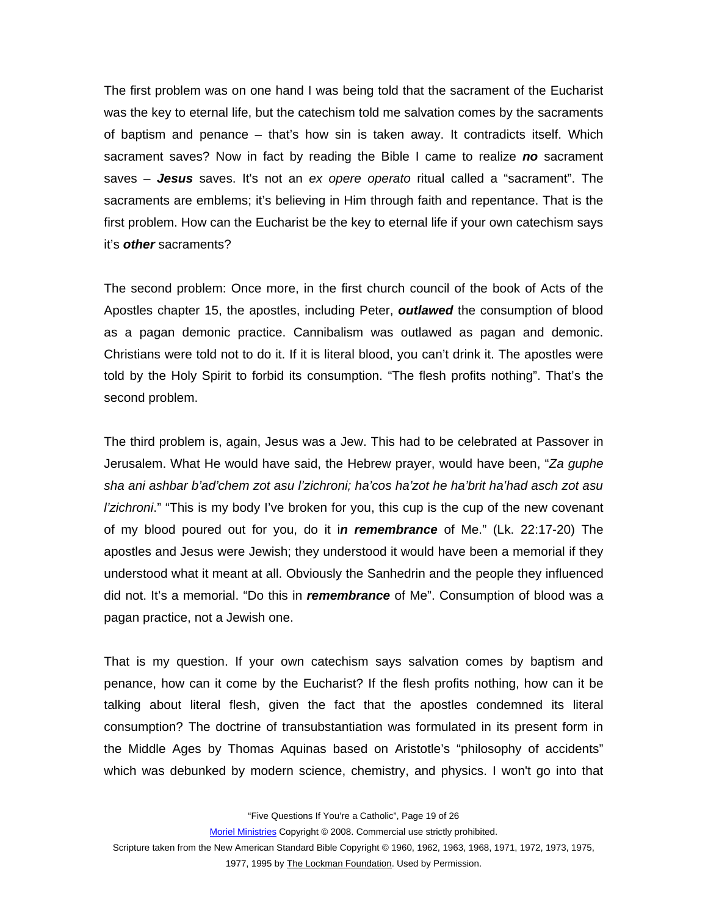The first problem was on one hand I was being told that the sacrament of the Eucharist was the key to eternal life, but the catechism told me salvation comes by the sacraments of baptism and penance – that's how sin is taken away. It contradicts itself. Which sacrament saves? Now in fact by reading the Bible I came to realize *no* sacrament saves – *Jesus* saves. It's not an *ex opere operato* ritual called a "sacrament". The sacraments are emblems; it's believing in Him through faith and repentance. That is the first problem. How can the Eucharist be the key to eternal life if your own catechism says it's *other* sacraments?

The second problem: Once more, in the first church council of the book of Acts of the Apostles chapter 15, the apostles, including Peter, *outlawed* the consumption of blood as a pagan demonic practice. Cannibalism was outlawed as pagan and demonic. Christians were told not to do it. If it is literal blood, you can't drink it. The apostles were told by the Holy Spirit to forbid its consumption. "The flesh profits nothing". That's the second problem.

The third problem is, again, Jesus was a Jew. This had to be celebrated at Passover in Jerusalem. What He would have said, the Hebrew prayer, would have been, "*Za guphe sha ani ashbar b'ad'chem zot asu l'zichroni; ha'cos ha'zot he ha'brit ha'had asch zot asu l'zichroni*." "This is my body I've broken for you, this cup is the cup of the new covenant of my blood poured out for you, do it i*n remembrance* of Me." (Lk. 22:17-20) The apostles and Jesus were Jewish; they understood it would have been a memorial if they understood what it meant at all. Obviously the Sanhedrin and the people they influenced did not. It's a memorial. "Do this in *remembrance* of Me". Consumption of blood was a pagan practice, not a Jewish one.

That is my question. If your own catechism says salvation comes by baptism and penance, how can it come by the Eucharist? If the flesh profits nothing, how can it be talking about literal flesh, given the fact that the apostles condemned its literal consumption? The doctrine of transubstantiation was formulated in its present form in the Middle Ages by Thomas Aquinas based on Aristotle's "philosophy of accidents" which was debunked by modern science, chemistry, and physics. I won't go into that

"Five Questions If You're a Catholic", Page 19 of 26

Moriel Ministries Copyright © 2008. Commercial use strictly prohibited.

Scripture taken from the New American Standard Bible Copyright © 1960, 1962, 1963, 1968, 1971, 1972, 1973, 1975,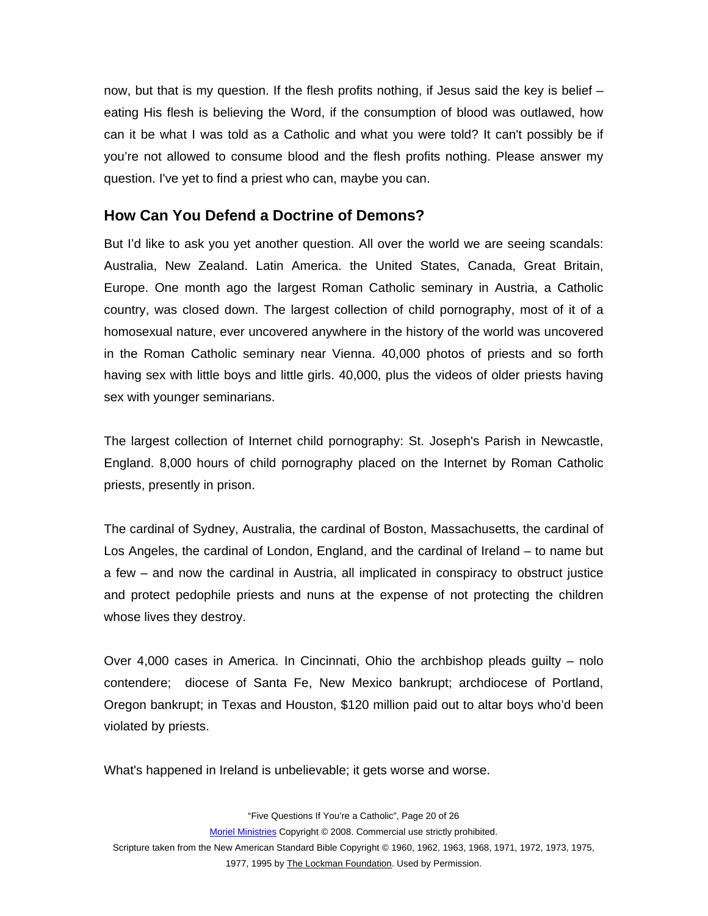<span id="page-19-0"></span>now, but that is my question. If the flesh profits nothing, if Jesus said the key is belief – eating His flesh is believing the Word, if the consumption of blood was outlawed, how can it be what I was told as a Catholic and what you were told? It can't possibly be if you're not allowed to consume blood and the flesh profits nothing. Please answer my question. I've yet to find a priest who can, maybe you can.

## **How Can You Defend a Doctrine of Demons?**

But I'd like to ask you yet another question. All over the world we are seeing scandals: Australia, New Zealand. Latin America. the United States, Canada, Great Britain, Europe. One month ago the largest Roman Catholic seminary in Austria, a Catholic country, was closed down. The largest collection of child pornography, most of it of a homosexual nature, ever uncovered anywhere in the history of the world was uncovered in the Roman Catholic seminary near Vienna. 40,000 photos of priests and so forth having sex with little boys and little girls. 40,000, plus the videos of older priests having sex with younger seminarians.

The largest collection of Internet child pornography: St. Joseph's Parish in Newcastle, England. 8,000 hours of child pornography placed on the Internet by Roman Catholic priests, presently in prison.

The cardinal of Sydney, Australia, the cardinal of Boston, Massachusetts, the cardinal of Los Angeles, the cardinal of London, England, and the cardinal of Ireland – to name but a few – and now the cardinal in Austria, all implicated in conspiracy to obstruct justice and protect pedophile priests and nuns at the expense of not protecting the children whose lives they destroy.

Over 4,000 cases in America. In Cincinnati, Ohio the archbishop pleads guilty – nolo contendere; diocese of Santa Fe, New Mexico bankrupt; archdiocese of Portland, Oregon bankrupt; in Texas and Houston, \$120 million paid out to altar boys who'd been violated by priests.

What's happened in Ireland is unbelievable; it gets worse and worse.

"Five Questions If You're a Catholic", Page 20 of 26

Moriel Ministries Copyright © 2008. Commercial use strictly prohibited.

Scripture taken from the New American Standard Bible Copyright © 1960, 1962, 1963, 1968, 1971, 1972, 1973, 1975,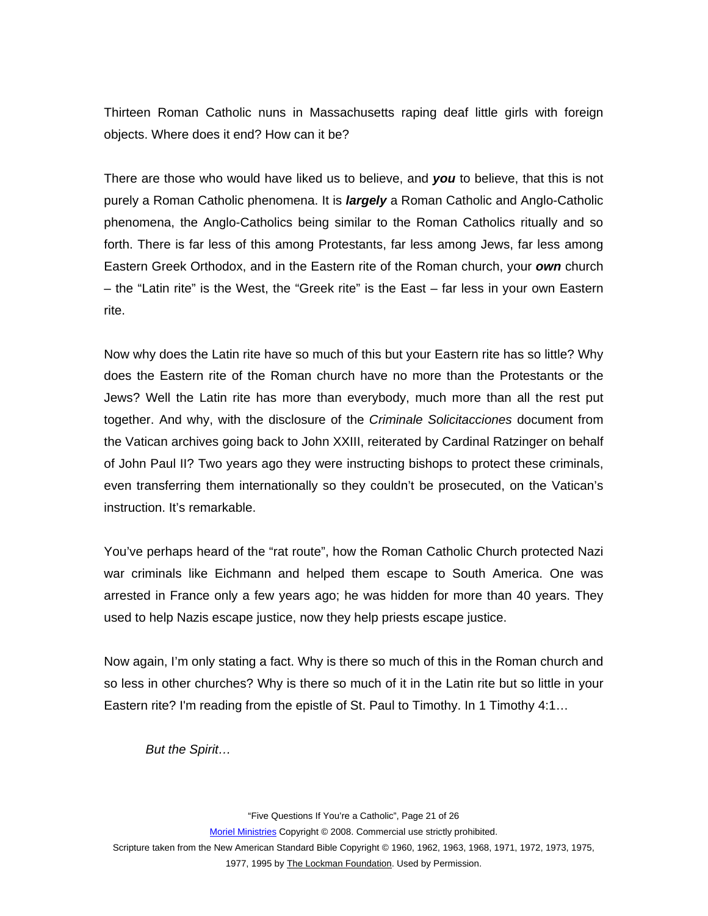Thirteen Roman Catholic nuns in Massachusetts raping deaf little girls with foreign objects. Where does it end? How can it be?

There are those who would have liked us to believe, and *you* to believe, that this is not purely a Roman Catholic phenomena. It is *largely* a Roman Catholic and Anglo-Catholic phenomena, the Anglo-Catholics being similar to the Roman Catholics ritually and so forth. There is far less of this among Protestants, far less among Jews, far less among Eastern Greek Orthodox, and in the Eastern rite of the Roman church, your *own* church – the "Latin rite" is the West, the "Greek rite" is the East – far less in your own Eastern rite.

Now why does the Latin rite have so much of this but your Eastern rite has so little? Why does the Eastern rite of the Roman church have no more than the Protestants or the Jews? Well the Latin rite has more than everybody, much more than all the rest put together. And why, with the disclosure of the *Criminale Solicitacciones* document from the Vatican archives going back to John XXIII, reiterated by Cardinal Ratzinger on behalf of John Paul II? Two years ago they were instructing bishops to protect these criminals, even transferring them internationally so they couldn't be prosecuted, on the Vatican's instruction. It's remarkable.

You've perhaps heard of the "rat route", how the Roman Catholic Church protected Nazi war criminals like Eichmann and helped them escape to South America. One was arrested in France only a few years ago; he was hidden for more than 40 years. They used to help Nazis escape justice, now they help priests escape justice.

Now again, I'm only stating a fact. Why is there so much of this in the Roman church and so less in other churches? Why is there so much of it in the Latin rite but so little in your Eastern rite? I'm reading from the epistle of St. Paul to Timothy. In 1 Timothy 4:1…

*But the Spirit…* 

"Five Questions If You're a Catholic", Page 21 of 26 Moriel Ministries Copyright © 2008. Commercial use strictly prohibited. Scripture taken from the New American Standard Bible Copyright © 1960, 1962, 1963, 1968, 1971, 1972, 1973, 1975, 1977, 1995 by The Lockman Foundation. Used by Permission.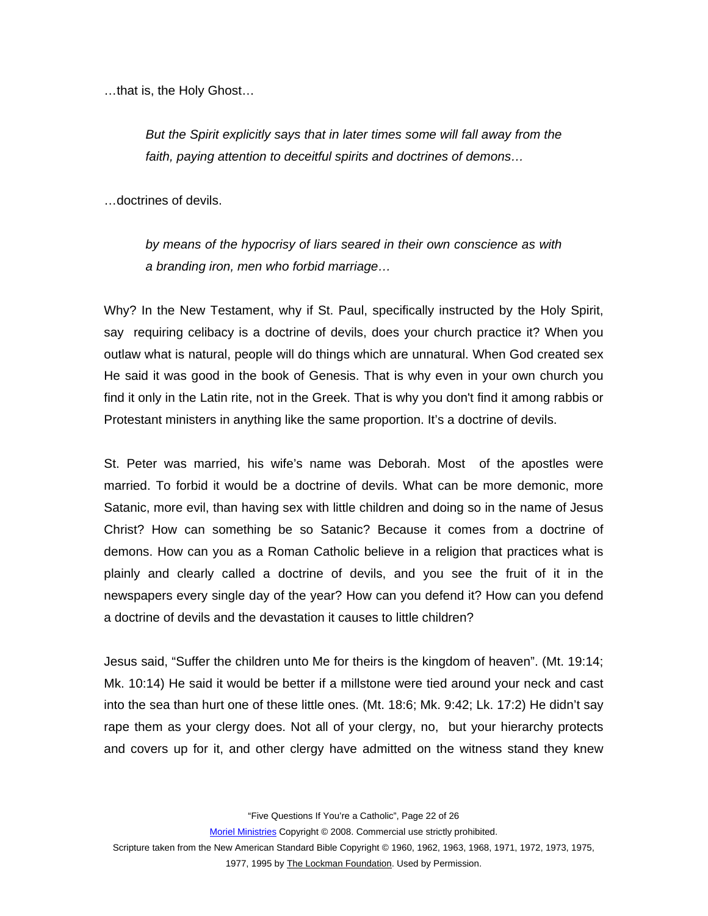…that is, the Holy Ghost…

*But the Spirit explicitly says that in later times some will fall away from the faith, paying attention to deceitful spirits and doctrines of demons…* 

…doctrines of devils.

*by means of the hypocrisy of liars seared in their own conscience as with a branding iron, men who forbid marriage…* 

Why? In the New Testament, why if St. Paul, specifically instructed by the Holy Spirit, say requiring celibacy is a doctrine of devils, does your church practice it? When you outlaw what is natural, people will do things which are unnatural. When God created sex He said it was good in the book of Genesis. That is why even in your own church you find it only in the Latin rite, not in the Greek. That is why you don't find it among rabbis or Protestant ministers in anything like the same proportion. It's a doctrine of devils.

St. Peter was married, his wife's name was Deborah. Most of the apostles were married. To forbid it would be a doctrine of devils. What can be more demonic, more Satanic, more evil, than having sex with little children and doing so in the name of Jesus Christ? How can something be so Satanic? Because it comes from a doctrine of demons. How can you as a Roman Catholic believe in a religion that practices what is plainly and clearly called a doctrine of devils, and you see the fruit of it in the newspapers every single day of the year? How can you defend it? How can you defend a doctrine of devils and the devastation it causes to little children?

Jesus said, "Suffer the children unto Me for theirs is the kingdom of heaven". (Mt. 19:14; Mk. 10:14) He said it would be better if a millstone were tied around your neck and cast into the sea than hurt one of these little ones. (Mt. 18:6; Mk. 9:42; Lk. 17:2) He didn't say rape them as your clergy does. Not all of your clergy, no, but your hierarchy protects and covers up for it, and other clergy have admitted on the witness stand they knew

"Five Questions If You're a Catholic", Page 22 of 26

Moriel Ministries Copyright © 2008. Commercial use strictly prohibited.

Scripture taken from the New American Standard Bible Copyright © 1960, 1962, 1963, 1968, 1971, 1972, 1973, 1975,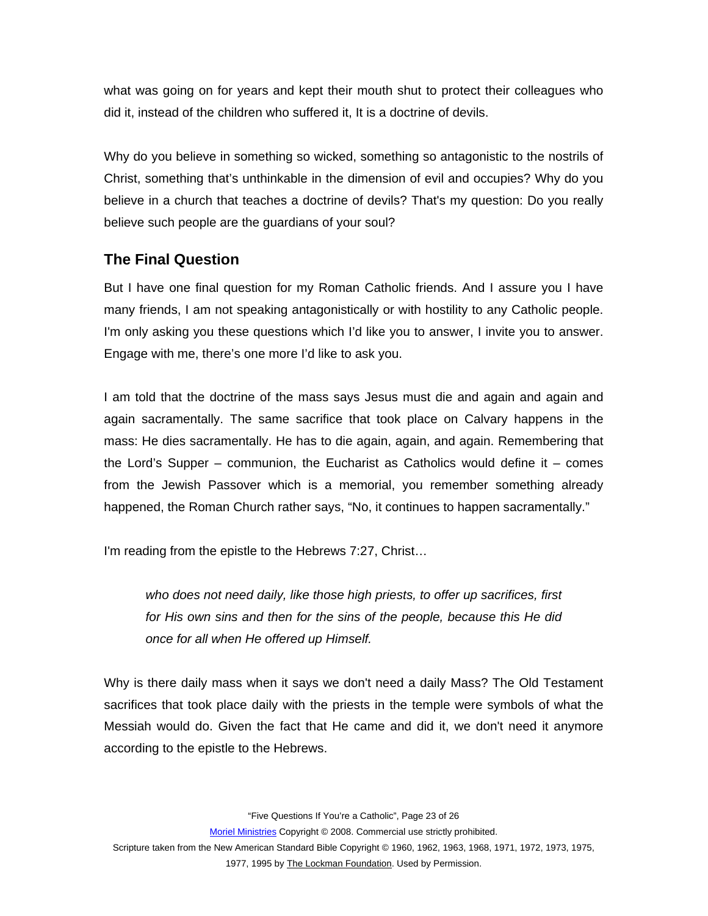<span id="page-22-0"></span>what was going on for years and kept their mouth shut to protect their colleagues who did it, instead of the children who suffered it, It is a doctrine of devils.

Why do you believe in something so wicked, something so antagonistic to the nostrils of Christ, something that's unthinkable in the dimension of evil and occupies? Why do you believe in a church that teaches a doctrine of devils? That's my question: Do you really believe such people are the guardians of your soul?

### **The Final Question**

But I have one final question for my Roman Catholic friends. And I assure you I have many friends, I am not speaking antagonistically or with hostility to any Catholic people. I'm only asking you these questions which I'd like you to answer, I invite you to answer. Engage with me, there's one more I'd like to ask you.

I am told that the doctrine of the mass says Jesus must die and again and again and again sacramentally. The same sacrifice that took place on Calvary happens in the mass: He dies sacramentally. He has to die again, again, and again. Remembering that the Lord's Supper – communion, the Eucharist as Catholics would define it – comes from the Jewish Passover which is a memorial, you remember something already happened, the Roman Church rather says, "No, it continues to happen sacramentally."

I'm reading from the epistle to the Hebrews 7:27, Christ…

*who does not need daily, like those high priests, to offer up sacrifices, first for His own sins and then for the sins of the people, because this He did once for all when He offered up Himself.* 

Why is there daily mass when it says we don't need a daily Mass? The Old Testament sacrifices that took place daily with the priests in the temple were symbols of what the Messiah would do. Given the fact that He came and did it, we don't need it anymore according to the epistle to the Hebrews.

"Five Questions If You're a Catholic", Page 23 of 26

Moriel Ministries Copyright © 2008. Commercial use strictly prohibited.

Scripture taken from the New American Standard Bible Copyright © 1960, 1962, 1963, 1968, 1971, 1972, 1973, 1975, 1977, 1995 by The Lockman Foundation. Used by Permission.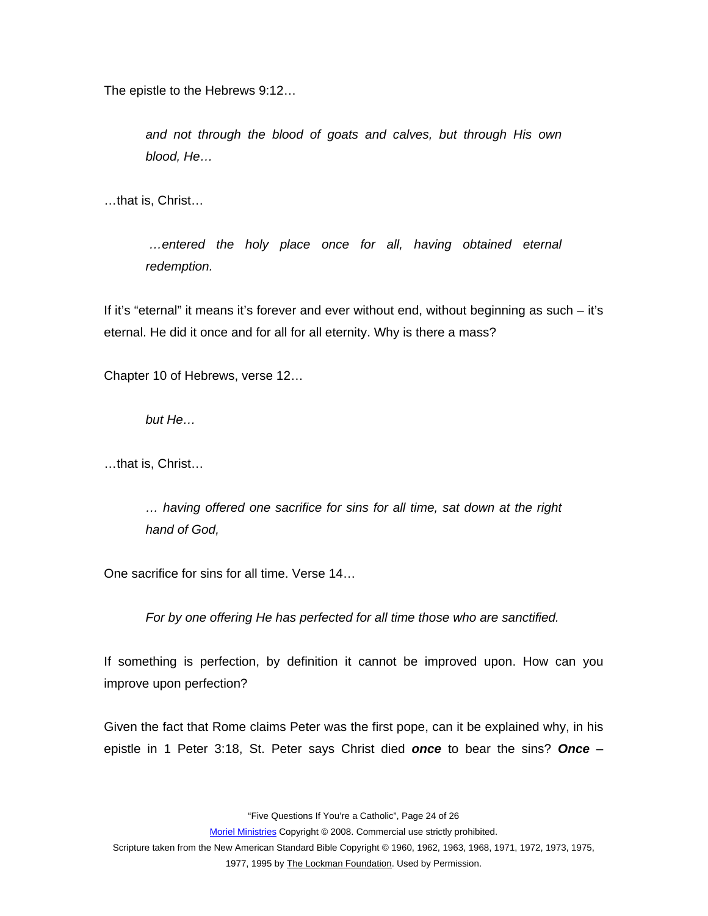The epistle to the Hebrews 9:12…

*and not through the blood of goats and calves, but through His own blood, He…* 

…that is, Christ…

 *…entered the holy place once for all, having obtained eternal redemption.* 

If it's "eternal" it means it's forever and ever without end, without beginning as such – it's eternal. He did it once and for all for all eternity. Why is there a mass?

Chapter 10 of Hebrews, verse 12…

*but He…* 

…that is, Christ…

*… having offered one sacrifice for sins for all time, sat down at the right hand of God,* 

One sacrifice for sins for all time. Verse 14…

*For by one offering He has perfected for all time those who are sanctified.* 

If something is perfection, by definition it cannot be improved upon. How can you improve upon perfection?

Given the fact that Rome claims Peter was the first pope, can it be explained why, in his epistle in 1 Peter 3:18, St. Peter says Christ died *once* to bear the sins? *Once* –

"Five Questions If You're a Catholic", Page 24 of 26

Moriel Ministries Copyright © 2008. Commercial use strictly prohibited.

Scripture taken from the New American Standard Bible Copyright © 1960, 1962, 1963, 1968, 1971, 1972, 1973, 1975,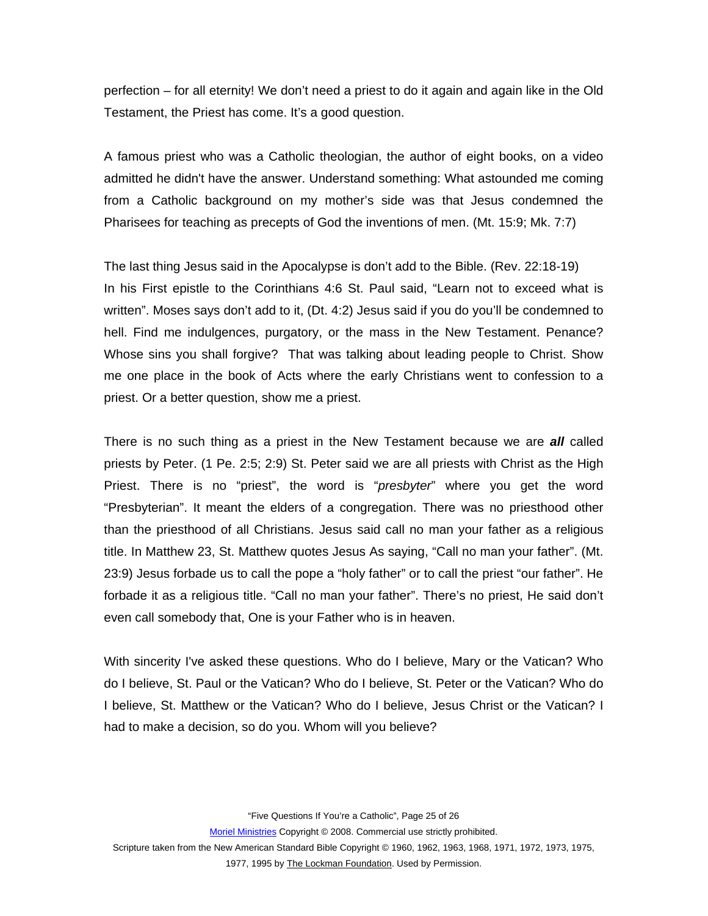perfection – for all eternity! We don't need a priest to do it again and again like in the Old Testament, the Priest has come. It's a good question.

A famous priest who was a Catholic theologian, the author of eight books, on a video admitted he didn't have the answer. Understand something: What astounded me coming from a Catholic background on my mother's side was that Jesus condemned the Pharisees for teaching as precepts of God the inventions of men. (Mt. 15:9; Mk. 7:7)

The last thing Jesus said in the Apocalypse is don't add to the Bible. (Rev. 22:18-19) In his First epistle to the Corinthians 4:6 St. Paul said, "Learn not to exceed what is written". Moses says don't add to it, (Dt. 4:2) Jesus said if you do you'll be condemned to hell. Find me indulgences, purgatory, or the mass in the New Testament. Penance? Whose sins you shall forgive? That was talking about leading people to Christ. Show me one place in the book of Acts where the early Christians went to confession to a priest. Or a better question, show me a priest.

There is no such thing as a priest in the New Testament because we are *all* called priests by Peter. (1 Pe. 2:5; 2:9) St. Peter said we are all priests with Christ as the High Priest. There is no "priest", the word is "*presbyter*" where you get the word "Presbyterian". It meant the elders of a congregation. There was no priesthood other than the priesthood of all Christians. Jesus said call no man your father as a religious title. In Matthew 23, St. Matthew quotes Jesus As saying, "Call no man your father". (Mt. 23:9) Jesus forbade us to call the pope a "holy father" or to call the priest "our father". He forbade it as a religious title. "Call no man your father". There's no priest, He said don't even call somebody that, One is your Father who is in heaven.

With sincerity I've asked these questions. Who do I believe, Mary or the Vatican? Who do I believe, St. Paul or the Vatican? Who do I believe, St. Peter or the Vatican? Who do I believe, St. Matthew or the Vatican? Who do I believe, Jesus Christ or the Vatican? I had to make a decision, so do you. Whom will you believe?

"Five Questions If You're a Catholic", Page 25 of 26

Moriel Ministries Copyright © 2008. Commercial use strictly prohibited.

Scripture taken from the New American Standard Bible Copyright © 1960, 1962, 1963, 1968, 1971, 1972, 1973, 1975,